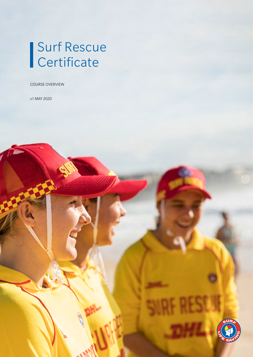# Surf Rescue **Certificate**

COURSE OVERVIEW

v1 MAY 2020

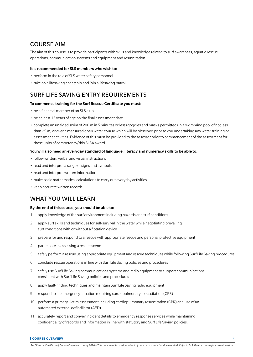## COURSE AIM

The aim of this course is to provide participants with skills and knowledge related to surf awareness, aquatic rescue operations, communication systems and equipment and resuscitation.

#### It is recommended for SLS members who wish to:

- perform in the role of SLS water safety personnel
- take on a lifesaving cadetship and join a lifesaving patrol.

## SURF LIFE SAVING ENTRY REQUIREMENTS

#### To commence training for the Surf Rescue Certificate you must:

- be a financial member of an SLS club
- be at least 13 years of age on the final assessment date
- complete an unaided swim of 200 m in 5 minutes or less (goggles and masks permitted) in a swimming pool of not less than 25 m, or over a measured open water course which will be observed prior to you undertaking any water training or assessment activities. Evidence of this must be provided to the assessor prior to commencement of the assessment for these units of competency/this SLSA award.

#### You will also need an everyday standard of language, literacy and numeracy skills to be able to:

- follow written, verbal and visual instructions
- read and interpret a range of signs and symbols
- read and interpret written information
- make basic mathematical calculations to carry out everyday activities
- keep accurate written records.

### WHAT YOU WILL LEARN

#### By the end of this course, you should be able to:

- 1. apply knowledge of the surf environment including hazards and surf conditions
- 2. apply surf skills and techniques for self-survival in the water while negotiating prevailing surf conditions with or without a flotation device
- 3. prepare for and respond to a rescue with appropriate rescue and personal protective equipment
- 4. participate in assessing a rescue scene
- 5. safely perform a rescue using appropriate equipment and rescue techniques while following Surf Life Saving procedures
- 6. conclude rescue operations in line with Surf Life Saving policies and procedures
- 7. safely use Surf Life Saving communications systems and radio equipment to support communications consistent with Surf Life Saving policies and procedures
- 8. apply fault-finding techniques and maintain Surf Life Saving radio equipment
- 9. respond to an emergency situation requiring cardiopulmonary resuscitation (CPR)
- 10. perform a primary victim assessment including cardiopulmonary resuscitation (CPR) and use of an automated external defibrillator (AED)
- 11. accurately report and convey incident details to emergency response services while maintaining confidentiality of records and information in line with statutory and Surf Life Saving policies.